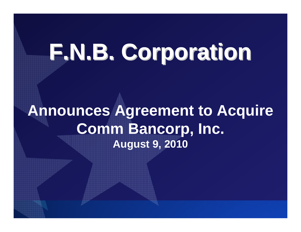# **F.N.B. Corporation F.N.B. Corporation**

#### **Announces Agreement to Acquire Comm Bancorp, Inc. August 9, 2010**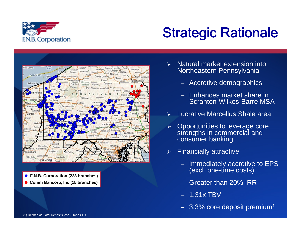

### Strategic Rationale



**• Comm Bancorp, Inc (15 branches)** • **F.N.B. Corporation (223 branches)**

- $\blacktriangleright$  Natural market extension into Northeastern Pennsylvania
	- Accretive demographics
	- Enhances market share in Scranton-Wilkes-Barre MSA
- $\blacktriangleright$ Lucrative Marcellus Shale area
- $\blacktriangleright$  Opportunities to leverage core strengths in commercial and consumer banking
- $\blacktriangleright$  Financially attractive
	- Immediately accretive to EPS (excl. one-time costs)
	- Greater than 20% IRR
	- 1.31x TBV
	- $-$  3.3% core deposit premium $^{\rm 1}$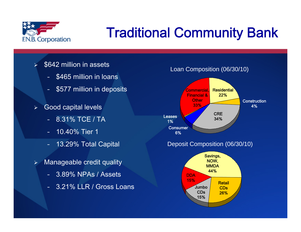

## Traditional Community Bank

- $\blacktriangleright$  \$642 million in assets
	- –\$465 million in loans
	- –\$577 million in deposits
- $\blacktriangleright$  Good capital levels
	- 8.31% TCE / TA
	- –10.40% Tier 1
	- –13.29% Total Capital
- $\blacktriangleright$  Manageable credit quality
	- 3.89% NPAs / Assets
	- 3.21% LLR / Gross Loans

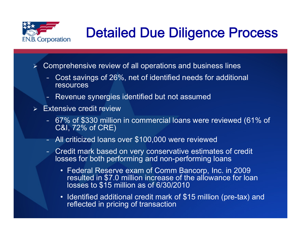

## Detailed Due Diligence Process

 $\blacktriangleright$ Comprehensive review of all operations and business lines

- – Cost savings of 26%, net of identified needs for additional resources
- –Revenue synergies identified but not assumed
- $\blacktriangleright$  Extensive credit review
	- – 67% of \$330 million in commercial loans were reviewed (61% of C&I, 72% of CRE)
	- All criticized loans over \$100,000 were reviewed
	- – Credit mark based on very conservative estimates of credit losses for both performing and non-performing loans
		- Federal Reserve exam of Comm Bancorp, Inc. in 2009 resulted in \$7.0 million increase of the allowance for loan losses to \$15 million as of 6/30/2010
		- Identified additional credit mark of \$15 million (pre-tax) and reflected in pricing of transaction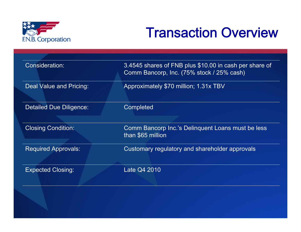

#### Transaction Overview

| Consideration:                 | 3.4545 shares of FNB plus \$10.00 in cash per share of<br>Comm Bancorp, Inc. (75% stock / 25% cash) |  |
|--------------------------------|-----------------------------------------------------------------------------------------------------|--|
| Deal Value and Pricing:        | Approximately \$70 million; 1.31x TBV                                                               |  |
| <b>Detailed Due Diligence:</b> | Completed                                                                                           |  |
| <b>Closing Condition:</b>      | Comm Bancorp Inc.'s Delinguent Loans must be less<br>than \$65 million                              |  |
| <b>Required Approvals:</b>     | Customary regulatory and shareholder approvals                                                      |  |
| <b>Expected Closing:</b>       | Late Q4 2010                                                                                        |  |
|                                |                                                                                                     |  |